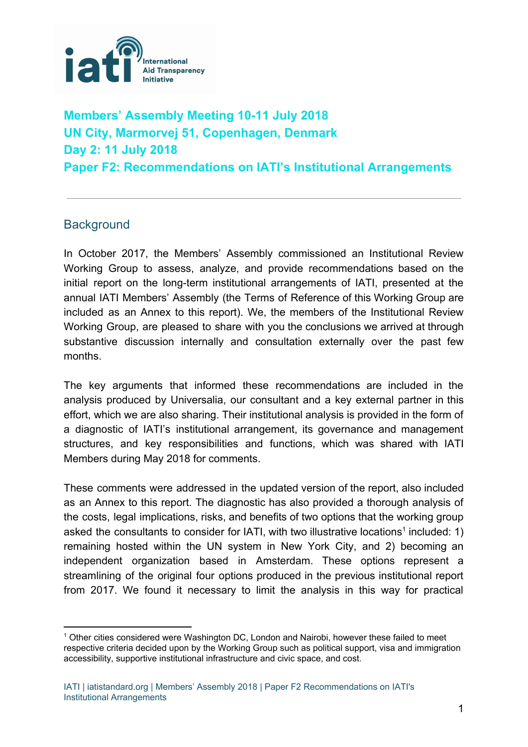

# **Members' Assembly Meeting 10-11 July 2018 UN City, Marmorvej 51, Copenhagen, Denmark Day 2: 11 July 2018 Paper F2: Recommendations on IATI's Institutional Arrangements**

#### **Background**

In October 2017, the Members' Assembly commissioned an Institutional Review Working Group to assess, analyze, and provide recommendations based on the initial report on the long-term institutional arrangements of IATI, presented at the annual IATI Members' Assembly (the Terms of Reference of this Working Group are included as an Annex to this report). We, the members of the Institutional Review Working Group, are pleased to share with you the conclusions we arrived at through substantive discussion internally and consultation externally over the past few months.

The key arguments that informed these recommendations are included in the analysis produced by Universalia, our consultant and a key external partner in this effort, which we are also sharing. Their institutional analysis is provided in the form of a diagnostic of IATI's institutional arrangement, its governance and management structures, and key responsibilities and functions, which was shared with IATI Members during May 2018 for comments.

These comments were addressed in the updated version of the report, also included as an Annex to this report. The diagnostic has also provided a thorough analysis of the costs, legal implications, risks, and benefits of two options that the working group asked the consultants to consider for IATI, with two illustrative locations<sup>1</sup> included: 1) remaining hosted within the UN system in New York City, and 2) becoming an independent organization based in Amsterdam. These options represent a streamlining of the original four options produced in the previous institutional report from 2017. We found it necessary to limit the analysis in this way for practical

<sup>1</sup> Other cities considered were Washington DC, London and Nairobi, however these failed to meet respective criteria decided upon by the Working Group such as political support, visa and immigration accessibility, supportive institutional infrastructure and civic space, and cost.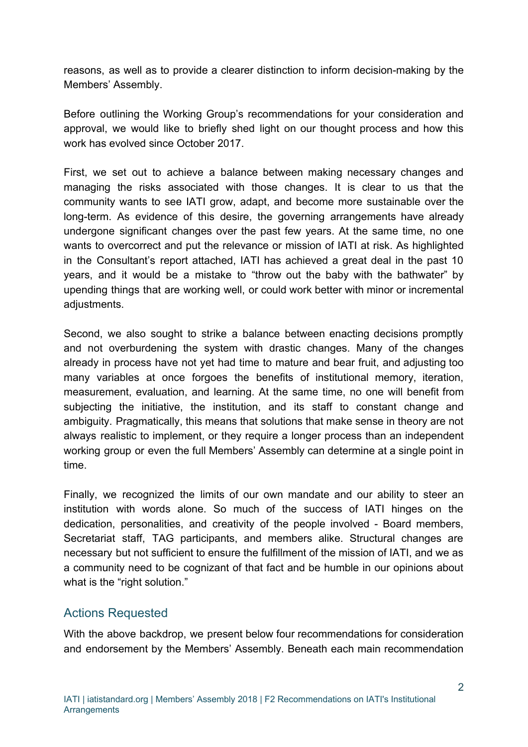reasons, as well as to provide a clearer distinction to inform decision-making by the Members' Assembly.

Before outlining the Working Group's recommendations for your consideration and approval, we would like to briefly shed light on our thought process and how this work has evolved since October 2017.

First, we set out to achieve a balance between making necessary changes and managing the risks associated with those changes. It is clear to us that the community wants to see IATI grow, adapt, and become more sustainable over the long-term. As evidence of this desire, the governing arrangements have already undergone significant changes over the past few years. At the same time, no one wants to overcorrect and put the relevance or mission of IATI at risk. As highlighted in the Consultant's report attached, IATI has achieved a great deal in the past 10 years, and it would be a mistake to "throw out the baby with the bathwater" by upending things that are working well, or could work better with minor or incremental adjustments.

Second, we also sought to strike a balance between enacting decisions promptly and not overburdening the system with drastic changes. Many of the changes already in process have not yet had time to mature and bear fruit, and adjusting too many variables at once forgoes the benefits of institutional memory, iteration, measurement, evaluation, and learning. At the same time, no one will benefit from subjecting the initiative, the institution, and its staff to constant change and ambiguity. Pragmatically, this means that solutions that make sense in theory are not always realistic to implement, or they require a longer process than an independent working group or even the full Members' Assembly can determine at a single point in time.

Finally, we recognized the limits of our own mandate and our ability to steer an institution with words alone. So much of the success of IATI hinges on the dedication, personalities, and creativity of the people involved - Board members, Secretariat staff, TAG participants, and members alike. Structural changes are necessary but not sufficient to ensure the fulfillment of the mission of IATI, and we as a community need to be cognizant of that fact and be humble in our opinions about what is the "right solution."

#### Actions Requested

With the above backdrop, we present below four recommendations for consideration and endorsement by the Members' Assembly. Beneath each main recommendation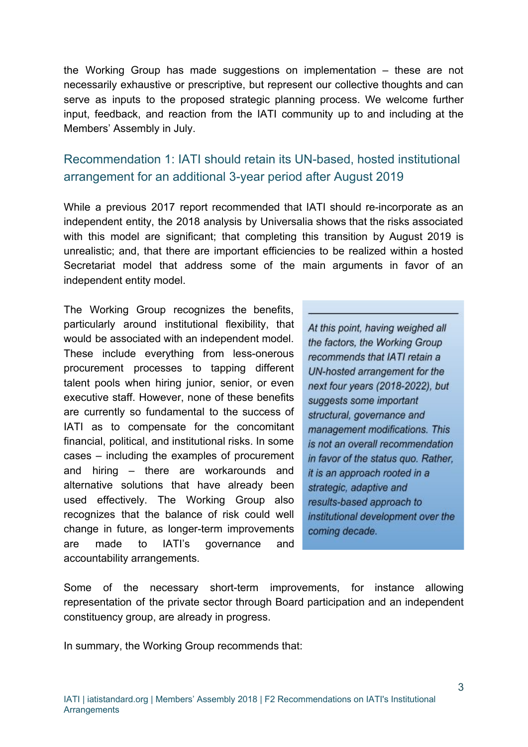the Working Group has made suggestions on implementation – these are not necessarily exhaustive or prescriptive, but represent our collective thoughts and can serve as inputs to the proposed strategic planning process. We welcome further input, feedback, and reaction from the IATI community up to and including at the Members' Assembly in July.

### Recommendation 1: IATI should retain its UN-based, hosted institutional arrangement for an additional 3-year period after August 2019

While a previous 2017 report recommended that IATI should re-incorporate as an independent entity, the 2018 analysis by Universalia shows that the risks associated with this model are significant; that completing this transition by August 2019 is unrealistic; and, that there are important efficiencies to be realized within a hosted Secretariat model that address some of the main arguments in favor of an independent entity model.

The Working Group recognizes the benefits, particularly around institutional flexibility, that would be associated with an independent model. These include everything from less-onerous procurement processes to tapping different talent pools when hiring junior, senior, or even executive staff. However, none of these benefits are currently so fundamental to the success of IATI as to compensate for the concomitant financial, political, and institutional risks. In some cases – including the examples of procurement and hiring – there are workarounds and alternative solutions that have already been used effectively. The Working Group also recognizes that the balance of risk could well change in future, as longer-term improvements are made to IATI's governance and accountability arrangements.

At this point, having weighed all the factors, the Working Group recommends that IATI retain a UN-hosted arrangement for the next four years (2018-2022), but suggests some important structural, governance and management modifications. This is not an overall recommendation in favor of the status quo. Rather, it is an approach rooted in a strategic, adaptive and results-based approach to institutional development over the coming decade.

Some of the necessary short-term improvements, for instance allowing representation of the private sector through Board participation and an independent constituency group, are already in progress.

In summary, the Working Group recommends that: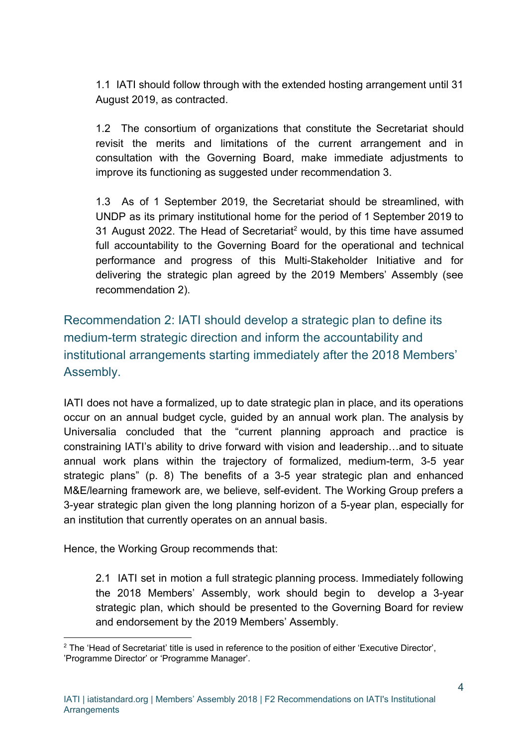1.1 IATI should follow through with the extended hosting arrangement until 31 August 2019, as contracted.

1.2 The consortium of organizations that constitute the Secretariat should revisit the merits and limitations of the current arrangement and in consultation with the Governing Board, make immediate adjustments to improve its functioning as suggested under recommendation 3.

1.3 As of 1 September 2019, the Secretariat should be streamlined, with UNDP as its primary institutional home for the period of 1 September 2019 to 31 August 2022. The Head of Secretariat<sup>2</sup> would, by this time have assumed full accountability to the Governing Board for the operational and technical performance and progress of this Multi-Stakeholder Initiative and for delivering the strategic plan agreed by the 2019 Members' Assembly (see recommendation 2).

Recommendation 2: IATI should develop a strategic plan to define its medium-term strategic direction and inform the accountability and institutional arrangements starting immediately after the 2018 Members' Assembly.

IATI does not have a formalized, up to date strategic plan in place, and its operations occur on an annual budget cycle, guided by an annual work plan. The analysis by Universalia concluded that the "current planning approach and practice is constraining IATI's ability to drive forward with vision and leadership…and to situate annual work plans within the trajectory of formalized, medium-term, 3-5 year strategic plans" (p. 8) The benefits of a 3-5 year strategic plan and enhanced M&E/learning framework are, we believe, self-evident. The Working Group prefers a 3-year strategic plan given the long planning horizon of a 5-year plan, especially for an institution that currently operates on an annual basis.

Hence, the Working Group recommends that:

2.1 IATI set in motion a full strategic planning process. Immediately following the 2018 Members' Assembly, work should begin to develop a 3-year strategic plan, which should be presented to the Governing Board for review and endorsement by the 2019 Members' Assembly.

<sup>&</sup>lt;sup>2</sup> The 'Head of Secretariat' title is used in reference to the position of either 'Executive Director', 'Programme Director' or 'Programme Manager'.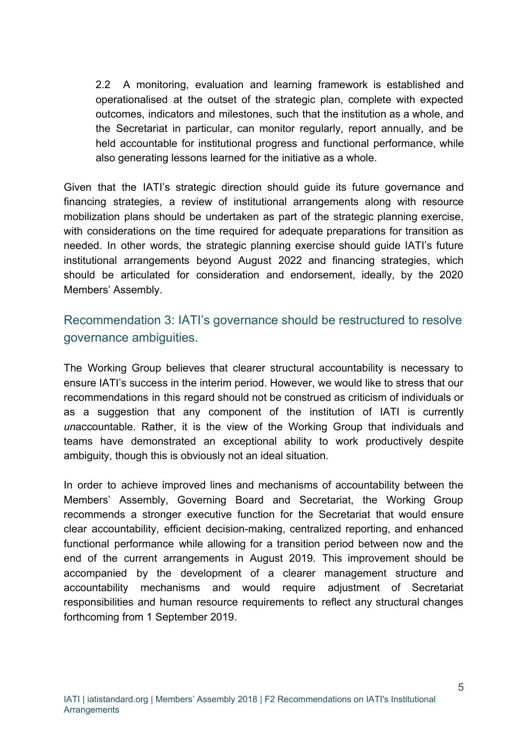2.2 A monitoring, evaluation and learning framework is established and operationalised at the outset of the strategic plan, complete with expected outcomes, indicators and milestones, such that the institution as a whole, and the Secretariat in particular, can monitor regularly, report annually, and be held accountable for institutional progress and functional performance, while also generating lessons learned for the initiative as a whole.

Given that the IATI's strategic direction should guide its future governance and financing strategies, a review of institutional arrangements along with resource mobilization plans should be undertaken as part of the strategic planning exercise, with considerations on the time required for adequate preparations for transition as needed. In other words, the strategic planning exercise should guide IATI's future institutional arrangements beyond August 2022 and financing strategies, which should be articulated for consideration and endorsement, ideally, by the 2020 Members' Assembly.

## Recommendation 3: IATI's governance should be restructured to resolve governance ambiguities.

The Working Group believes that clearer structural accountability is necessary to ensure IATI's success in the interim period. However, we would like to stress that our recommendations in this regard should not be construed as criticism of individuals or as a suggestion that any component of the institution of IATI is currently *un*accountable. Rather, it is the view of the Working Group that individuals and teams have demonstrated an exceptional ability to work productively despite ambiguity, though this is obviously not an ideal situation.

In order to achieve improved lines and mechanisms of accountability between the Members' Assembly, Governing Board and Secretariat, the Working Group recommends a stronger executive function for the Secretariat that would ensure clear accountability, efficient decision-making, centralized reporting, and enhanced functional performance while allowing for a transition period between now and the end of the current arrangements in August 2019. This improvement should be accompanied by the development of a clearer management structure and accountability mechanisms and would require adjustment of Secretariat responsibilities and human resource requirements to reflect any structural changes forthcoming from 1 September 2019.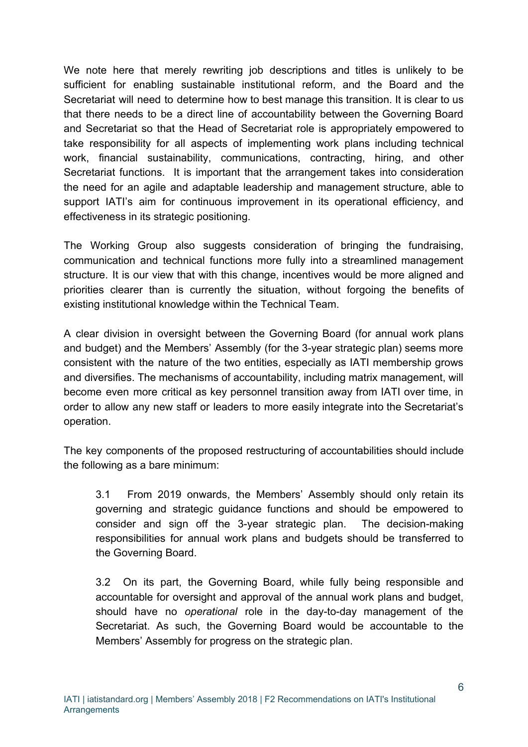We note here that merely rewriting job descriptions and titles is unlikely to be sufficient for enabling sustainable institutional reform, and the Board and the Secretariat will need to determine how to best manage this transition. It is clear to us that there needs to be a direct line of accountability between the Governing Board and Secretariat so that the Head of Secretariat role is appropriately empowered to take responsibility for all aspects of implementing work plans including technical work, financial sustainability, communications, contracting, hiring, and other Secretariat functions. It is important that the arrangement takes into consideration the need for an agile and adaptable leadership and management structure, able to support IATI's aim for continuous improvement in its operational efficiency, and effectiveness in its strategic positioning.

The Working Group also suggests consideration of bringing the fundraising, communication and technical functions more fully into a streamlined management structure. It is our view that with this change, incentives would be more aligned and priorities clearer than is currently the situation, without forgoing the benefits of existing institutional knowledge within the Technical Team.

A clear division in oversight between the Governing Board (for annual work plans and budget) and the Members' Assembly (for the 3-year strategic plan) seems more consistent with the nature of the two entities, especially as IATI membership grows and diversifies. The mechanisms of accountability, including matrix management, will become even more critical as key personnel transition away from IATI over time, in order to allow any new staff or leaders to more easily integrate into the Secretariat's operation.

The key components of the proposed restructuring of accountabilities should include the following as a bare minimum:

3.1 From 2019 onwards, the Members' Assembly should only retain its governing and strategic guidance functions and should be empowered to consider and sign off the 3-year strategic plan. The decision-making responsibilities for annual work plans and budgets should be transferred to the Governing Board.

3.2 On its part, the Governing Board, while fully being responsible and accountable for oversight and approval of the annual work plans and budget, should have no *operational* role in the day-to-day management of the Secretariat. As such, the Governing Board would be accountable to the Members' Assembly for progress on the strategic plan.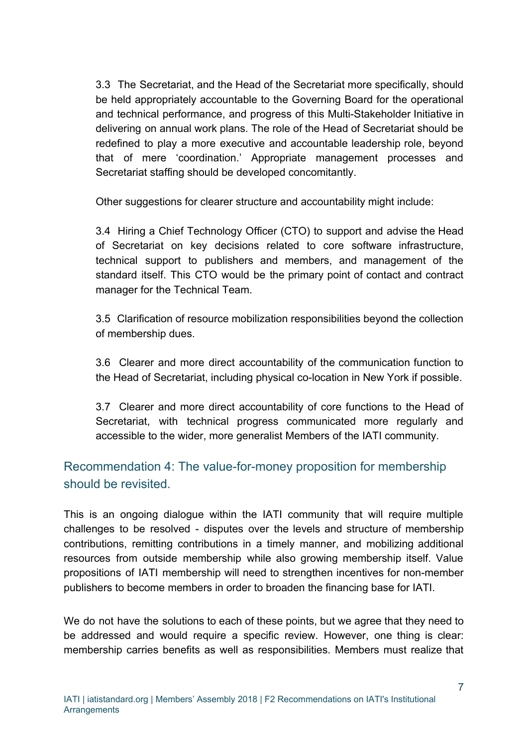3.3 The Secretariat, and the Head of the Secretariat more specifically, should be held appropriately accountable to the Governing Board for the operational and technical performance, and progress of this Multi-Stakeholder Initiative in delivering on annual work plans. The role of the Head of Secretariat should be redefined to play a more executive and accountable leadership role, beyond that of mere 'coordination.' Appropriate management processes and Secretariat staffing should be developed concomitantly.

Other suggestions for clearer structure and accountability might include:

3.4 Hiring a Chief Technology Officer (CTO) to support and advise the Head of Secretariat on key decisions related to core software infrastructure, technical support to publishers and members, and management of the standard itself. This CTO would be the primary point of contact and contract manager for the Technical Team.

3.5 Clarification of resource mobilization responsibilities beyond the collection of membership dues.

3.6 Clearer and more direct accountability of the communication function to the Head of Secretariat, including physical co-location in New York if possible.

3.7 Clearer and more direct accountability of core functions to the Head of Secretariat, with technical progress communicated more regularly and accessible to the wider, more generalist Members of the IATI community.

## Recommendation 4: The value-for-money proposition for membership should be revisited.

This is an ongoing dialogue within the IATI community that will require multiple challenges to be resolved - disputes over the levels and structure of membership contributions, remitting contributions in a timely manner, and mobilizing additional resources from outside membership while also growing membership itself. Value propositions of IATI membership will need to strengthen incentives for non-member publishers to become members in order to broaden the financing base for IATI.

We do not have the solutions to each of these points, but we agree that they need to be addressed and would require a specific review. However, one thing is clear: membership carries benefits as well as responsibilities. Members must realize that